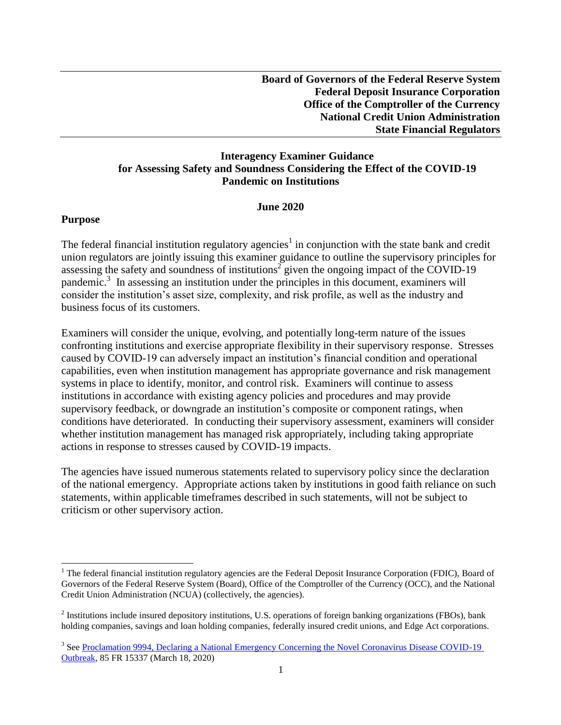## **Interagency Examiner Guidance for Assessing Safety and Soundness Considering the Effect of the COVID-19 Pandemic on Institutions**

#### **June 2020**

#### **Purpose**

 $\overline{a}$ 

The federal financial institution regulatory agencies<sup>1</sup> in conjunction with the state bank and credit union regulators are jointly issuing this examiner guidance to outline the supervisory principles for assessing the safety and soundness of institutions<sup>2</sup> given the ongoing impact of the COVID-19 pandemic. 3 In assessing an institution under the principles in this document, examiners will consider the institution's asset size, complexity, and risk profile, as well as the industry and business focus of its customers.

Examiners will consider the unique, evolving, and potentially long-term nature of the issues confronting institutions and exercise appropriate flexibility in their supervisory response. Stresses caused by COVID-19 can adversely impact an institution's financial condition and operational capabilities, even when institution management has appropriate governance and risk management systems in place to identify, monitor, and control risk. Examiners will continue to assess institutions in accordance with existing agency policies and procedures and may provide supervisory feedback, or downgrade an institution's composite or component ratings, when conditions have deteriorated. In conducting their supervisory assessment, examiners will consider whether institution management has managed risk appropriately, including taking appropriate actions in response to stresses caused by COVID-19 impacts.

The agencies have issued numerous statements related to supervisory policy since the declaration of the national emergency. Appropriate actions taken by institutions in good faith reliance on such statements, within applicable timeframes described in such statements, will not be subject to criticism or other supervisory action.

 $1$  The federal financial institution regulatory agencies are the Federal Deposit Insurance Corporation (FDIC), Board of Governors of the Federal Reserve System (Board), Office of the Comptroller of the Currency (OCC), and the National Credit Union Administration (NCUA) (collectively, the agencies).

 $2$  Institutions include insured depository institutions, U.S. operations of foreign banking organizations (FBOs), bank holding companies, savings and loan holding companies, federally insured credit unions, and Edge Act corporations.

<sup>&</sup>lt;sup>3</sup> See Proclamation 9994, Declaring a National Emergency Concerning the Novel Coronavirus Disease COVID-19 [Outbreak,](https://www.federalregister.gov/documents/2020/03/18/2020-05794/declaring-a-national-emergency-concerning-the-novel-coronavirus-disease-covid-19-outbreak) 85 FR 15337 (March 18, 2020)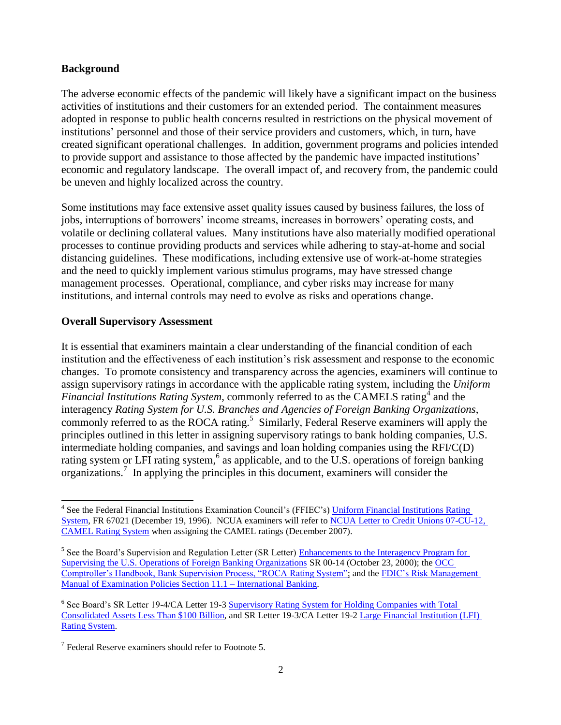## **Background**

The adverse economic effects of the pandemic will likely have a significant impact on the business activities of institutions and their customers for an extended period. The containment measures adopted in response to public health concerns resulted in restrictions on the physical movement of institutions' personnel and those of their service providers and customers, which, in turn, have created significant operational challenges. In addition, government programs and policies intended to provide support and assistance to those affected by the pandemic have impacted institutions' economic and regulatory landscape. The overall impact of, and recovery from, the pandemic could be uneven and highly localized across the country.

Some institutions may face extensive asset quality issues caused by business failures, the loss of jobs, interruptions of borrowers' income streams, increases in borrowers' operating costs, and volatile or declining collateral values. Many institutions have also materially modified operational processes to continue providing products and services while adhering to stay-at-home and social distancing guidelines. These modifications, including extensive use of work-at-home strategies and the need to quickly implement various stimulus programs, may have stressed change management processes. Operational, compliance, and cyber risks may increase for many institutions, and internal controls may need to evolve as risks and operations change.

## **Overall Supervisory Assessment**

l

It is essential that examiners maintain a clear understanding of the financial condition of each institution and the effectiveness of each institution's risk assessment and response to the economic changes. To promote consistency and transparency across the agencies, examiners will continue to assign supervisory ratings in accordance with the applicable rating system, including the *Uniform*  Financial Institutions Rating System, commonly referred to as the CAMELS rating<sup>4</sup> and the interagency *Rating System for U.S. Branches and Agencies of Foreign Banking Organizations*, commonly referred to as the ROCA rating.<sup>5</sup> Similarly, Federal Reserve examiners will apply the principles outlined in this letter in assigning supervisory ratings to bank holding companies, U.S. intermediate holding companies, and savings and loan holding companies using the RFI/C(D) rating system or LFI rating system,<sup>6</sup> as applicable, and to the U.S. operations of foreign banking organizations. 7 In applying the principles in this document, examiners will consider the

<sup>&</sup>lt;sup>4</sup> See the Federal Financial Institutions Examination Council's (FFIEC's) Uniform Financial Institutions Rating [System,](https://www.govinfo.gov/content/pkg/FR-1996-12-19/pdf/96-32174.pdf) FR 67021 (December 19, 1996). NCUA examiners will refer to [NCUA Letter to Credit Unions 07-CU-12,](https://www.ncua.gov/regulation-supervision/letters-credit-unions-other-guidance/camel-rating-system-1)  [CAMEL Rating System](https://www.ncua.gov/regulation-supervision/letters-credit-unions-other-guidance/camel-rating-system-1) when assigning the CAMEL ratings (December 2007).

<sup>&</sup>lt;sup>5</sup> See the Board's Supervision and Regulation Letter (SR Letter) Enhancements to the Interagency Program for [Supervising the U.S. Operations of Foreign Banking Organizations](https://www.federalreserve.gov/boarddocs/srletters/2000/sr0014.htm) SR 00-14 (October 23, 2000); the [OCC](https://www.occ.gov/publications-and-resources/publications/comptrollers-handbook/files/bank-supervision-process/index-bank-supervision-process.html)  [Comptroller's Handbook, Bank Supervision Process, "ROCA Rating System";](https://www.occ.gov/publications-and-resources/publications/comptrollers-handbook/files/bank-supervision-process/index-bank-supervision-process.html) and the [FDIC's Risk Management](https://www.fdic.gov/regulations/safety/manual/section11-1.pdf)  [Manual of Examination Policies Section 11.1 –](https://www.fdic.gov/regulations/safety/manual/section11-1.pdf) International Banking.

<sup>&</sup>lt;sup>6</sup> See Board's SR Letter 19-4/CA Letter 19-3 Supervisory Rating System for Holding Companies with Total [Consolidated Assets Less Than \\$100 Billion,](https://www.federalreserve.gov/supervisionreg/srletters/sr1904a2.pdf) and SR Letter 19-3/CA Letter 19-2 [Large Financial Institution \(LFI\)](https://www.federalreserve.gov/supervisionreg/srletters/sr1903.htm)  [Rating System.](https://www.federalreserve.gov/supervisionreg/srletters/sr1903.htm) 

 $7$  Federal Reserve examiners should refer to Footnote 5.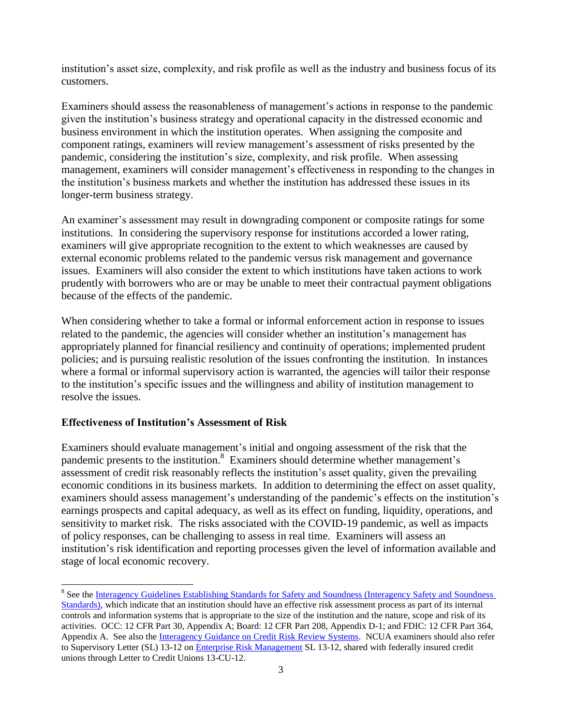institution's asset size, complexity, and risk profile as well as the industry and business focus of its customers.

Examiners should assess the reasonableness of management's actions in response to the pandemic given the institution's business strategy and operational capacity in the distressed economic and business environment in which the institution operates. When assigning the composite and component ratings, examiners will review management's assessment of risks presented by the pandemic, considering the institution's size, complexity, and risk profile. When assessing management, examiners will consider management's effectiveness in responding to the changes in the institution's business markets and whether the institution has addressed these issues in its longer-term business strategy.

An examiner's assessment may result in downgrading component or composite ratings for some institutions. In considering the supervisory response for institutions accorded a lower rating, examiners will give appropriate recognition to the extent to which weaknesses are caused by external economic problems related to the pandemic versus risk management and governance issues. Examiners will also consider the extent to which institutions have taken actions to work prudently with borrowers who are or may be unable to meet their contractual payment obligations because of the effects of the pandemic.

When considering whether to take a formal or informal enforcement action in response to issues related to the pandemic, the agencies will consider whether an institution's management has appropriately planned for financial resiliency and continuity of operations; implemented prudent policies; and is pursuing realistic resolution of the issues confronting the institution. In instances where a formal or informal supervisory action is warranted, the agencies will tailor their response to the institution's specific issues and the willingness and ability of institution management to resolve the issues.

## **Effectiveness of Institution's Assessment of Risk**

Examiners should evaluate management's initial and ongoing assessment of the risk that the pandemic presents to the institution.<sup>8</sup> Examiners should determine whether management's assessment of credit risk reasonably reflects the institution's asset quality, given the prevailing economic conditions in its business markets. In addition to determining the effect on asset quality, examiners should assess management's understanding of the pandemic's effects on the institution's earnings prospects and capital adequacy, as well as its effect on funding, liquidity, operations, and sensitivity to market risk. The risks associated with the COVID-19 pandemic, as well as impacts of policy responses, can be challenging to assess in real time. Examiners will assess an institution's risk identification and reporting processes given the level of information available and stage of local economic recovery.

 $\overline{a}$ <sup>8</sup> See the Interagency Guidelines Establishing Standards for Safety and Soundness (Interagency Safety and Soundness [Standards\),](https://www.fdic.gov/regulations/laws/rules/2000-8630.html#fdic2000appendixatopart364) which indicate that an institution should have an effective risk assessment process as part of its internal controls and information systems that is appropriate to the size of the institution and the nature, scope and risk of its activities. OCC: 12 CFR Part 30, Appendix A; Board: 12 CFR Part 208, Appendix D-1; and FDIC: 12 CFR Part 364, Appendix A. See also the [Interagency Guidance on Credit Risk Review Systems.](https://www.fdic.gov/news/news/press/2020/pr20058b.pdf) NCUA examiners should also refer to Supervisory Letter (SL) 13-12 o[n Enterprise Risk Management](https://www.ncua.gov/files/letters-credit-unions/LCU2013-12_SupervisoryLetter.pdf) SL 13-12, shared with federally insured credit unions through Letter to Credit Unions 13-CU-12.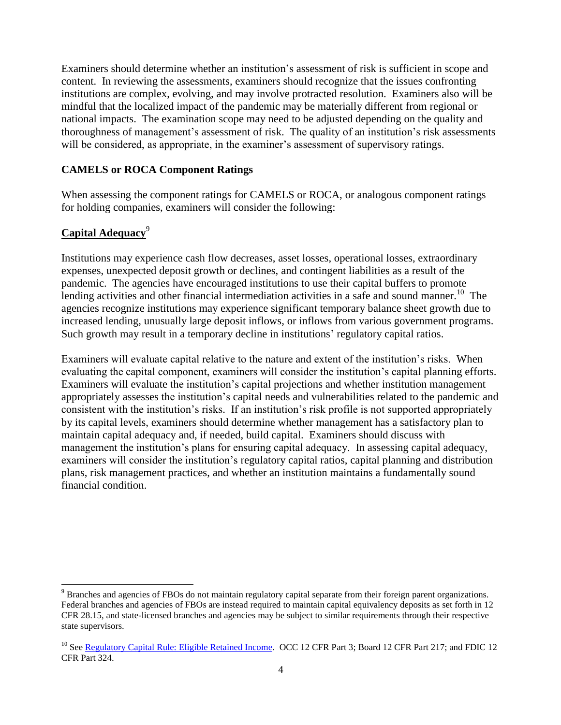Examiners should determine whether an institution's assessment of risk is sufficient in scope and content. In reviewing the assessments, examiners should recognize that the issues confronting institutions are complex, evolving, and may involve protracted resolution. Examiners also will be mindful that the localized impact of the pandemic may be materially different from regional or national impacts. The examination scope may need to be adjusted depending on the quality and thoroughness of management's assessment of risk. The quality of an institution's risk assessments will be considered, as appropriate, in the examiner's assessment of supervisory ratings.

#### **CAMELS or ROCA Component Ratings**

When assessing the component ratings for CAMELS or ROCA, or analogous component ratings for holding companies, examiners will consider the following:

## **Capital Adequacy**<sup>9</sup>

 $\overline{a}$ 

Institutions may experience cash flow decreases, asset losses, operational losses, extraordinary expenses, unexpected deposit growth or declines, and contingent liabilities as a result of the pandemic. The agencies have encouraged institutions to use their capital buffers to promote lending activities and other financial intermediation activities in a safe and sound manner.<sup>10</sup> The agencies recognize institutions may experience significant temporary balance sheet growth due to increased lending, unusually large deposit inflows, or inflows from various government programs. Such growth may result in a temporary decline in institutions' regulatory capital ratios.

Examiners will evaluate capital relative to the nature and extent of the institution's risks. When evaluating the capital component, examiners will consider the institution's capital planning efforts. Examiners will evaluate the institution's capital projections and whether institution management appropriately assesses the institution's capital needs and vulnerabilities related to the pandemic and consistent with the institution's risks. If an institution's risk profile is not supported appropriately by its capital levels, examiners should determine whether management has a satisfactory plan to maintain capital adequacy and, if needed, build capital. Examiners should discuss with management the institution's plans for ensuring capital adequacy. In assessing capital adequacy, examiners will consider the institution's regulatory capital ratios, capital planning and distribution plans, risk management practices, and whether an institution maintains a fundamentally sound financial condition.

<sup>9</sup> Branches and agencies of FBOs do not maintain regulatory capital separate from their foreign parent organizations. Federal branches and agencies of FBOs are instead required to maintain capital equivalency deposits as set forth in 12 CFR 28.15, and state-licensed branches and agencies may be subject to similar requirements through their respective state supervisors.

<sup>&</sup>lt;sup>10</sup> See [Regulatory Capital Rule: Eligible Retained Income.](https://www.fdic.gov/news/news/press/2020/pr20030a.pdf) OCC 12 CFR Part 3; Board 12 CFR Part 217; and FDIC 12 CFR Part 324.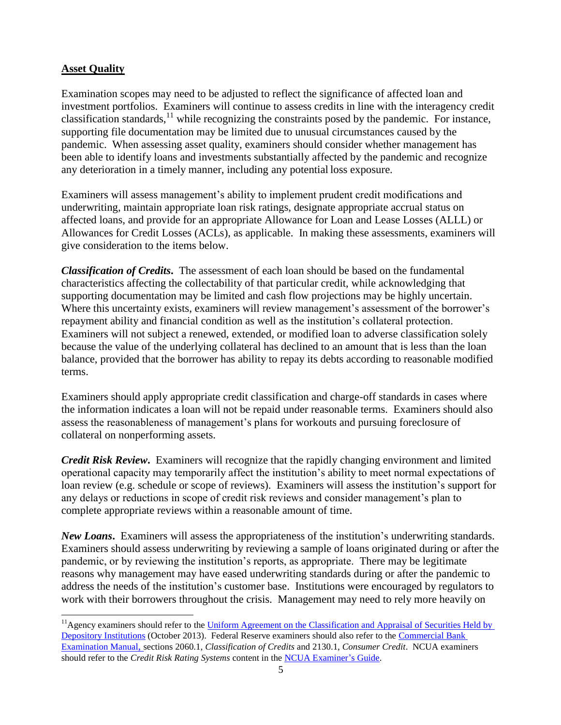## **Asset Quality**

 $\overline{a}$ 

Examination scopes may need to be adjusted to reflect the significance of affected loan and investment portfolios. Examiners will continue to assess credits in line with the interagency credit classification standards,<sup>11</sup> while recognizing the constraints posed by the pandemic. For instance, supporting file documentation may be limited due to unusual circumstances caused by the pandemic. When assessing asset quality, examiners should consider whether management has been able to identify loans and investments substantially affected by the pandemic and recognize any deterioration in a timely manner, including any potential loss exposure.

Examiners will assess management's ability to implement prudent credit modifications and underwriting, maintain appropriate loan risk ratings, designate appropriate accrual status on affected loans, and provide for an appropriate Allowance for Loan and Lease Losses (ALLL) or Allowances for Credit Losses (ACLs), as applicable. In making these assessments, examiners will give consideration to the items below.

*Classification of Credits***.** The assessment of each loan should be based on the fundamental characteristics affecting the collectability of that particular credit, while acknowledging that supporting documentation may be limited and cash flow projections may be highly uncertain. Where this uncertainty exists, examiners will review management's assessment of the borrower's repayment ability and financial condition as well as the institution's collateral protection. Examiners will not subject a renewed, extended, or modified loan to adverse classification solely because the value of the underlying collateral has declined to an amount that is less than the loan balance, provided that the borrower has ability to repay its debts according to reasonable modified terms.

Examiners should apply appropriate credit classification and charge-off standards in cases where the information indicates a loan will not be repaid under reasonable terms. Examiners should also assess the reasonableness of management's plans for workouts and pursuing foreclosure of collateral on nonperforming assets.

*Credit Risk Review***.** Examiners will recognize that the rapidly changing environment and limited operational capacity may temporarily affect the institution's ability to meet normal expectations of loan review (e.g. schedule or scope of reviews). Examiners will assess the institution's support for any delays or reductions in scope of credit risk reviews and consider management's plan to complete appropriate reviews within a reasonable amount of time.

*New Loans***.** Examiners will assess the appropriateness of the institution's underwriting standards. Examiners should assess underwriting by reviewing a sample of loans originated during or after the pandemic, or by reviewing the institution's reports, as appropriate. There may be legitimate reasons why management may have eased underwriting standards during or after the pandemic to address the needs of the institution's customer base. Institutions were encouraged by regulators to work with their borrowers throughout the crisis. Management may need to rely more heavily on

<sup>&</sup>lt;sup>11</sup> Agency examiners should refer to the Uniform Agreement on the Classification and Appraisal of Securities Held by [Depository Institutions](https://www.fdic.gov/news/news/financial/2013/fil13051a.pdf) (October 2013). Federal Reserve examiners should also refer to the [Commercial Bank](https://www.federalreserve.gov/publications/supervision_cbem.htm)  [Examination Manual](https://www.federalreserve.gov/publications/supervision_cbem.htm), sections 2060.1, *Classification of Credits* and 2130.1, *Consumer Credit*. NCUA examiners should refer to the *Credit Risk Rating Systems* content in the [NCUA Examiner's Guide.](https://www.ncua.gov/regulation-supervision/manuals-guides/examiners-guide)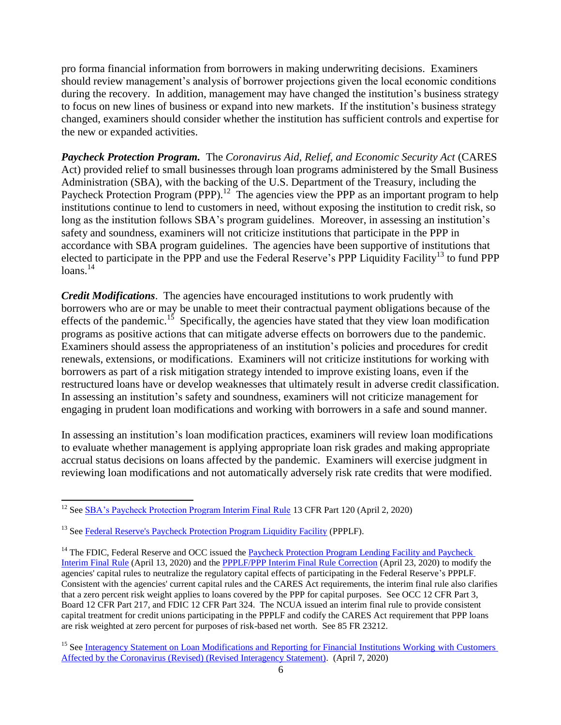pro forma financial information from borrowers in making underwriting decisions. Examiners should review management's analysis of borrower projections given the local economic conditions during the recovery. In addition, management may have changed the institution's business strategy to focus on new lines of business or expand into new markets. If the institution's business strategy changed, examiners should consider whether the institution has sufficient controls and expertise for the new or expanded activities.

*Paycheck Protection Program.* The *Coronavirus Aid, Relief, and Economic Security Act* (CARES Act) provided relief to small businesses through loan programs administered by the Small Business Administration (SBA), with the backing of the U.S. Department of the Treasury, including the Paycheck Protection Program (PPP).<sup>12</sup> The agencies view the PPP as an important program to help institutions continue to lend to customers in need, without exposing the institution to credit risk, so long as the institution follows SBA's program guidelines. Moreover, in assessing an institution's safety and soundness, examiners will not criticize institutions that participate in the PPP in accordance with SBA program guidelines. The agencies have been supportive of institutions that elected to participate in the PPP and use the Federal Reserve's PPP Liquidity Facility<sup>13</sup> to fund PPP  $loans.<sup>14</sup>$ 

*Credit Modifications*. The agencies have encouraged institutions to work prudently with borrowers who are or may be unable to meet their contractual payment obligations because of the effects of the pandemic.<sup>15</sup> Specifically, the agencies have stated that they view loan modification programs as positive actions that can mitigate adverse effects on borrowers due to the pandemic. Examiners should assess the appropriateness of an institution's policies and procedures for credit renewals, extensions, or modifications. Examiners will not criticize institutions for working with borrowers as part of a risk mitigation strategy intended to improve existing loans, even if the restructured loans have or develop weaknesses that ultimately result in adverse credit classification. In assessing an institution's safety and soundness, examiners will not criticize management for engaging in prudent loan modifications and working with borrowers in a safe and sound manner.

In assessing an institution's loan modification practices, examiners will review loan modifications to evaluate whether management is applying appropriate loan risk grades and making appropriate accrual status decisions on loans affected by the pandemic. Examiners will exercise judgment in reviewing loan modifications and not automatically adversely risk rate credits that were modified.

l

<sup>&</sup>lt;sup>12</sup> See [SBA's Paycheck Protection Program Interim Final Rule](https://home.treasury.gov/system/files/136/PPP--IFRN%20FINAL.pdf) 13 CFR Part 120 (April 2, 2020)

<sup>&</sup>lt;sup>13</sup> See [Federal Reserve's Paycheck Protection Program Liquidity Facility](https://www.federalreserve.gov/monetarypolicy/ppplf.htm) (PPPLF).

<sup>&</sup>lt;sup>14</sup> The FDIC, Federal Reserve and OCC issued the Paycheck Protection Program Lending Facility and Paycheck [Interim Final Rule](https://www.fdic.gov/news/news/press/2020/pr20050a.pdf) (April 13, 2020) and the [PPPLF/PPP Interim Final Rule Correction](https://www.govinfo.gov/content/pkg/FR-2020-04-21/pdf/2020-08361.pdf) (April 23, 2020) to modify the agencies' capital rules to neutralize the regulatory capital effects of participating in the Federal Reserve's PPPLF. Consistent with the agencies' current capital rules and the CARES Act requirements, the interim final rule also clarifies that a zero percent risk weight applies to loans covered by the PPP for capital purposes. See OCC 12 CFR Part 3, Board 12 CFR Part 217, and FDIC 12 CFR Part 324. The NCUA issued an interim final rule to provide consistent capital treatment for credit unions participating in the PPPLF and codify the CARES Act requirement that PPP loans are risk weighted at zero percent for purposes of risk-based net worth. See 85 FR 23212.

<sup>&</sup>lt;sup>15</sup> See [Interagency Statement on Loan Modifications and Reporting for Financial Institutions Working](https://www.fdic.gov/news/news/press/2020/pr20049a.pdf) with Customers [Affected by the Coronavirus \(Revised\) \(Revised Interagency Statement\).](https://www.fdic.gov/news/news/press/2020/pr20049a.pdf) (April 7, 2020)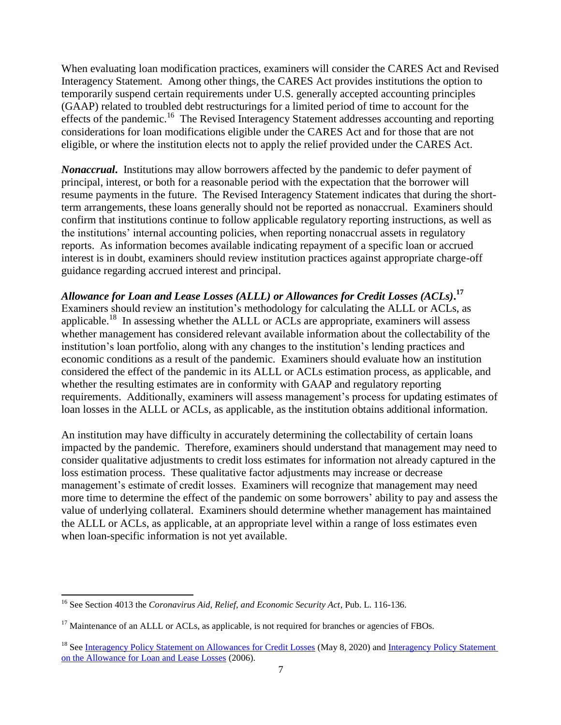When evaluating loan modification practices, examiners will consider the CARES Act and Revised Interagency Statement. Among other things, the CARES Act provides institutions the option to temporarily suspend certain requirements under U.S. generally accepted accounting principles (GAAP) related to troubled debt restructurings for a limited period of time to account for the effects of the pandemic.<sup>16</sup> The Revised Interagency Statement addresses accounting and reporting considerations for loan modifications eligible under the CARES Act and for those that are not eligible, or where the institution elects not to apply the relief provided under the CARES Act.

*Nonaccrual***.** Institutions may allow borrowers affected by the pandemic to defer payment of principal, interest, or both for a reasonable period with the expectation that the borrower will resume payments in the future. The Revised Interagency Statement indicates that during the shortterm arrangements, these loans generally should not be reported as nonaccrual. Examiners should confirm that institutions continue to follow applicable regulatory reporting instructions, as well as the institutions' internal accounting policies, when reporting nonaccrual assets in regulatory reports. As information becomes available indicating repayment of a specific loan or accrued interest is in doubt, examiners should review institution practices against appropriate charge-off guidance regarding accrued interest and principal.

*Allowance for Loan and Lease Losses (ALLL) or Allowances for Credit Losses (ACLs)***. 17** Examiners should review an institution's methodology for calculating the ALLL or ACLs, as applicable.<sup>18</sup> In assessing whether the ALLL or ACLs are appropriate, examiners will assess whether management has considered relevant available information about the collectability of the institution's loan portfolio, along with any changes to the institution's lending practices and economic conditions as a result of the pandemic. Examiners should evaluate how an institution considered the effect of the pandemic in its ALLL or ACLs estimation process, as applicable, and whether the resulting estimates are in conformity with GAAP and regulatory reporting requirements. Additionally, examiners will assess management's process for updating estimates of loan losses in the ALLL or ACLs, as applicable, as the institution obtains additional information.

An institution may have difficulty in accurately determining the collectability of certain loans impacted by the pandemic. Therefore, examiners should understand that management may need to consider qualitative adjustments to credit loss estimates for information not already captured in the loss estimation process. These qualitative factor adjustments may increase or decrease management's estimate of credit losses. Examiners will recognize that management may need more time to determine the effect of the pandemic on some borrowers' ability to pay and assess the value of underlying collateral. Examiners should determine whether management has maintained the ALLL or ACLs, as applicable, at an appropriate level within a range of loss estimates even when loan-specific information is not yet available.

l

<sup>16</sup> See Section 4013 the *Coronavirus Aid, Relief, and Economic Security Act*, Pub. L. 116-136.

 $17$  Maintenance of an ALLL or ACLs, as applicable, is not required for branches or agencies of FBOs.

<sup>&</sup>lt;sup>18</sup> See [Interagency Policy Statement on Allowances for Credit Losses](https://www.fdic.gov/news/news/press/2020/pr20058a.pdf) (May 8, 2020) and Interagency Policy Statement [on the Allowance for Loan and Lease Losses](https://www.fdic.gov/regulations/laws/rules/5000-4700.html) (2006).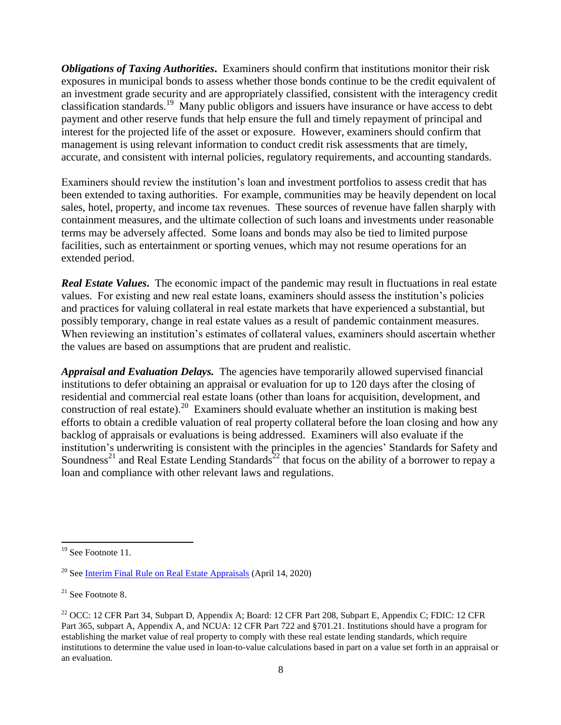*Obligations of Taxing Authorities***.** Examiners should confirm that institutions monitor their risk exposures in municipal bonds to assess whether those bonds continue to be the credit equivalent of an investment grade security and are appropriately classified, consistent with the interagency credit classification standards.<sup>19</sup> Many public obligors and issuers have insurance or have access to debt payment and other reserve funds that help ensure the full and timely repayment of principal and interest for the projected life of the asset or exposure. However, examiners should confirm that management is using relevant information to conduct credit risk assessments that are timely, accurate, and consistent with internal policies, regulatory requirements, and accounting standards.

Examiners should review the institution's loan and investment portfolios to assess credit that has been extended to taxing authorities. For example, communities may be heavily dependent on local sales, hotel, property, and income tax revenues. These sources of revenue have fallen sharply with containment measures, and the ultimate collection of such loans and investments under reasonable terms may be adversely affected. Some loans and bonds may also be tied to limited purpose facilities, such as entertainment or sporting venues, which may not resume operations for an extended period.

*Real Estate Values***.** The economic impact of the pandemic may result in fluctuations in real estate values. For existing and new real estate loans, examiners should assess the institution's policies and practices for valuing collateral in real estate markets that have experienced a substantial, but possibly temporary, change in real estate values as a result of pandemic containment measures. When reviewing an institution's estimates of collateral values, examiners should ascertain whether the values are based on assumptions that are prudent and realistic.

*Appraisal and Evaluation Delays.* The agencies have temporarily allowed supervised financial institutions to defer obtaining an appraisal or evaluation for up to 120 days after the closing of residential and commercial real estate loans (other than loans for acquisition, development, and construction of real estate). <sup>20</sup> Examiners should evaluate whether an institution is making best efforts to obtain a credible valuation of real property collateral before the loan closing and how any backlog of appraisals or evaluations is being addressed. Examiners will also evaluate if the institution's underwriting is consistent with the principles in the agencies' Standards for Safety and Soundness<sup>21</sup> and Real Estate Lending Standards<sup>22</sup> that focus on the ability of a borrower to repay a loan and compliance with other relevant laws and regulations.

l

<sup>&</sup>lt;sup>19</sup> See Footnote 11.

 $20$  See [Interim Final Rule on Real Estate Appraisals](https://www.fdic.gov/news/news/press/2020/pr20051a.pdf) (April 14, 2020)

 $21$  See Footnote 8.

<sup>&</sup>lt;sup>22</sup> OCC: 12 CFR Part 34, Subpart D, Appendix A; Board: 12 CFR Part 208, Subpart E, Appendix C; FDIC: 12 CFR Part 365, subpart A, Appendix A, and NCUA: 12 CFR Part 722 and §701.21. Institutions should have a program for establishing the market value of real property to comply with these real estate lending standards, which require institutions to determine the value used in loan-to-value calculations based in part on a value set forth in an appraisal or an evaluation.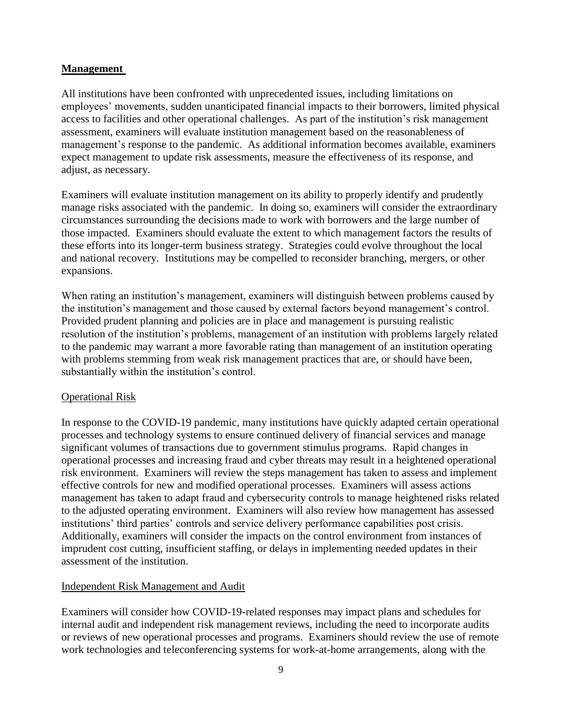## **Management**

All institutions have been confronted with unprecedented issues, including limitations on employees' movements, sudden unanticipated financial impacts to their borrowers, limited physical access to facilities and other operational challenges. As part of the institution's risk management assessment, examiners will evaluate institution management based on the reasonableness of management's response to the pandemic. As additional information becomes available, examiners expect management to update risk assessments, measure the effectiveness of its response, and adjust, as necessary.

Examiners will evaluate institution management on its ability to properly identify and prudently manage risks associated with the pandemic. In doing so, examiners will consider the extraordinary circumstances surrounding the decisions made to work with borrowers and the large number of those impacted. Examiners should evaluate the extent to which management factors the results of these efforts into its longer-term business strategy. Strategies could evolve throughout the local and national recovery. Institutions may be compelled to reconsider branching, mergers, or other expansions.

When rating an institution's management, examiners will distinguish between problems caused by the institution's management and those caused by external factors beyond management's control. Provided prudent planning and policies are in place and management is pursuing realistic resolution of the institution's problems, management of an institution with problems largely related to the pandemic may warrant a more favorable rating than management of an institution operating with problems stemming from weak risk management practices that are, or should have been, substantially within the institution's control.

## Operational Risk

In response to the COVID-19 pandemic, many institutions have quickly adapted certain operational processes and technology systems to ensure continued delivery of financial services and manage significant volumes of transactions due to government stimulus programs. Rapid changes in operational processes and increasing fraud and cyber threats may result in a heightened operational risk environment. Examiners will review the steps management has taken to assess and implement effective controls for new and modified operational processes. Examiners will assess actions management has taken to adapt fraud and cybersecurity controls to manage heightened risks related to the adjusted operating environment. Examiners will also review how management has assessed institutions' third parties' controls and service delivery performance capabilities post crisis. Additionally, examiners will consider the impacts on the control environment from instances of imprudent cost cutting, insufficient staffing, or delays in implementing needed updates in their assessment of the institution.

## Independent Risk Management and Audit

Examiners will consider how COVID-19-related responses may impact plans and schedules for internal audit and independent risk management reviews, including the need to incorporate audits or reviews of new operational processes and programs. Examiners should review the use of remote work technologies and teleconferencing systems for work-at-home arrangements, along with the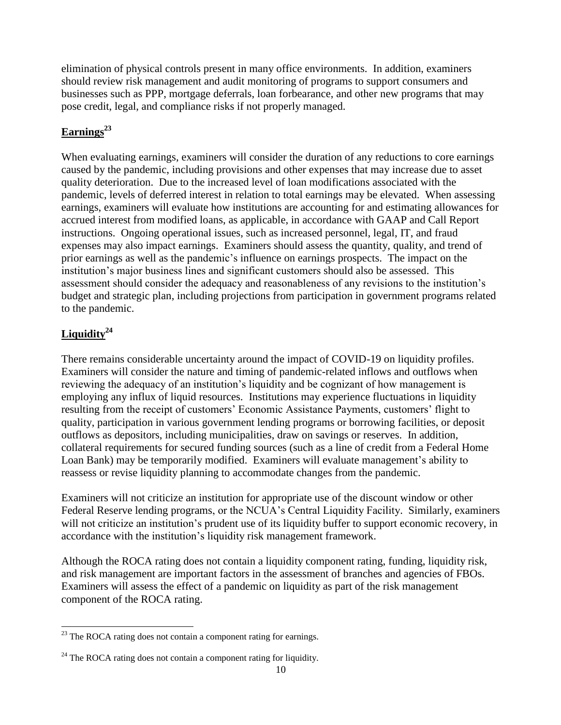elimination of physical controls present in many office environments. In addition, examiners should review risk management and audit monitoring of programs to support consumers and businesses such as PPP, mortgage deferrals, loan forbearance, and other new programs that may pose credit, legal, and compliance risks if not properly managed.

## **Earnings<sup>23</sup>**

When evaluating earnings, examiners will consider the duration of any reductions to core earnings caused by the pandemic, including provisions and other expenses that may increase due to asset quality deterioration. Due to the increased level of loan modifications associated with the pandemic, levels of deferred interest in relation to total earnings may be elevated. When assessing earnings, examiners will evaluate how institutions are accounting for and estimating allowances for accrued interest from modified loans, as applicable, in accordance with GAAP and Call Report instructions. Ongoing operational issues, such as increased personnel, legal, IT, and fraud expenses may also impact earnings. Examiners should assess the quantity, quality, and trend of prior earnings as well as the pandemic's influence on earnings prospects. The impact on the institution's major business lines and significant customers should also be assessed. This assessment should consider the adequacy and reasonableness of any revisions to the institution's budget and strategic plan, including projections from participation in government programs related to the pandemic.

# **Liquidity<sup>24</sup>**

 $\overline{a}$ 

There remains considerable uncertainty around the impact of COVID-19 on liquidity profiles. Examiners will consider the nature and timing of pandemic-related inflows and outflows when reviewing the adequacy of an institution's liquidity and be cognizant of how management is employing any influx of liquid resources. Institutions may experience fluctuations in liquidity resulting from the receipt of customers' Economic Assistance Payments, customers' flight to quality, participation in various government lending programs or borrowing facilities, or deposit outflows as depositors, including municipalities, draw on savings or reserves. In addition, collateral requirements for secured funding sources (such as a line of credit from a Federal Home Loan Bank) may be temporarily modified. Examiners will evaluate management's ability to reassess or revise liquidity planning to accommodate changes from the pandemic.

Examiners will not criticize an institution for appropriate use of the discount window or other Federal Reserve lending programs, or the NCUA's Central Liquidity Facility. Similarly, examiners will not criticize an institution's prudent use of its liquidity buffer to support economic recovery, in accordance with the institution's liquidity risk management framework.

Although the ROCA rating does not contain a liquidity component rating, funding, liquidity risk, and risk management are important factors in the assessment of branches and agencies of FBOs. Examiners will assess the effect of a pandemic on liquidity as part of the risk management component of the ROCA rating.

 $23$  The ROCA rating does not contain a component rating for earnings.

 $24$  The ROCA rating does not contain a component rating for liquidity.